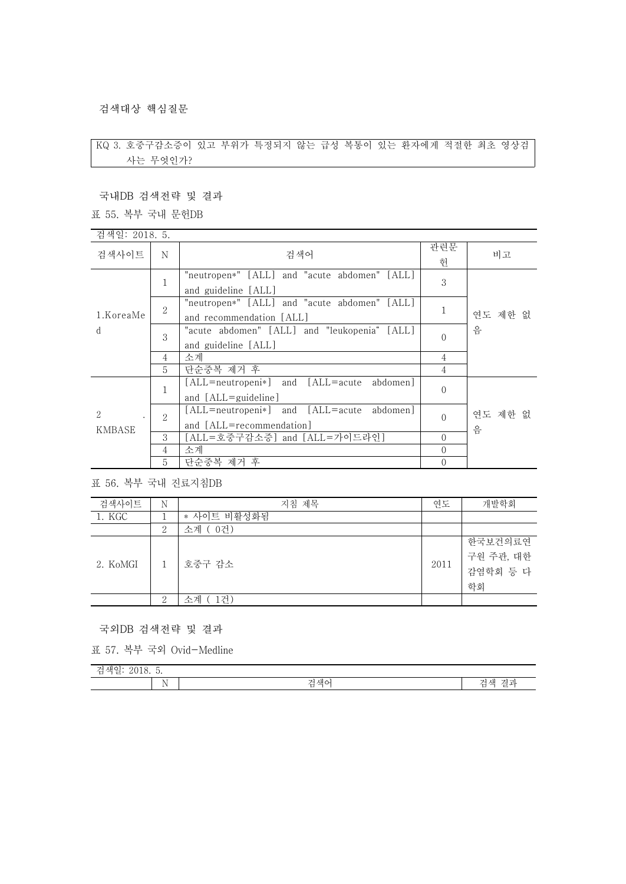## 검색대상 핵심질문

## KQ 3. 호중구감소증이 있고 부위가 특정되지 않는 급성 복통이 있는 환자에게 적절한 최초 영상검 사는 무엇인가?

국내DB 검색전략 및 결과

## 표 55. 복부 국내 문헌DB

| 검색일: 2018. 5.            |                |                                                                          |                |              |
|--------------------------|----------------|--------------------------------------------------------------------------|----------------|--------------|
| 검색사이트                    | N              | 검색어                                                                      | 관련문<br>헌       | 비고           |
|                          | 1              | "neutropen*" [ALL] and "acute abdomen" [ALL]<br>and guideline [ALL]      | 3              |              |
| 1.KoreaMe                | $\overline{2}$ | "neutropen*" [ALL] and "acute abdomen" [ALL]<br>and recommendation [ALL] |                | 연도 제한 없      |
| d                        | 3              | "acute abdomen" [ALL] and "leukopenia" [ALL]<br>and guideline [ALL]      | $\Omega$       | 음            |
|                          | 4              | 소계                                                                       | 4              |              |
|                          | 5.             | 단순중복 제거 후                                                                | $\overline{4}$ |              |
| $\overline{2}$<br>KMBASE | 1              | [ALL=neutropeni*] and [ALL=acute]<br>abdomenl<br>and [ALL=guideline]     | $\Omega$       |              |
|                          | 2              | [ALL=neutropeni*] and [ALL=acute abdomen]<br>and [ALL=recommendation]    | $\Omega$       | 연도 제한 없<br>음 |
|                          | 3              | [ALL=호중구감소증] and [ALL=가이드라인]                                             | $\Omega$       |              |
|                          | 4              | 소계                                                                       | $\Omega$       |              |
|                          | 5              | 단순중복 제거 후                                                                | $\overline{0}$ |              |

표 56. 복부 국내 진료지침DB

| 검색사이트    | Ν             | 지침 제목       | 연도   | 개발학회      |
|----------|---------------|-------------|------|-----------|
| 1. KGC   |               | * 사이트 비활성화됨 |      |           |
|          | 2             | 소계 (0건)     |      |           |
| 2. KoMGI |               | 호중구 감소      | 2011 | 한국보건의료연   |
|          |               |             |      | 구원 주관, 대한 |
|          |               |             |      | 감염학회 등 다  |
|          |               |             |      | 학회        |
|          | $\Omega$<br>∠ | 소계 (1건)     |      |           |

국외DB 검색전략 및 결과

표 57. 복부 국외 Ovid-Medline

| -<br><b>Service</b><br>∣∧n<br>⋍<br>$\overline{\phantom{0}}$<br>$-$<br>U.<br>.<br>ட<br>-<br><u>.</u> |                                  |                                                          |  |
|-----------------------------------------------------------------------------------------------------|----------------------------------|----------------------------------------------------------|--|
| - -                                                                                                 | 재ㅇ<br><b>Service</b><br>والمتعاد | ww.<br>커고<br>$\sim$ 11<br>ี∧н<br>$\rightarrow$<br>∸<br>ー |  |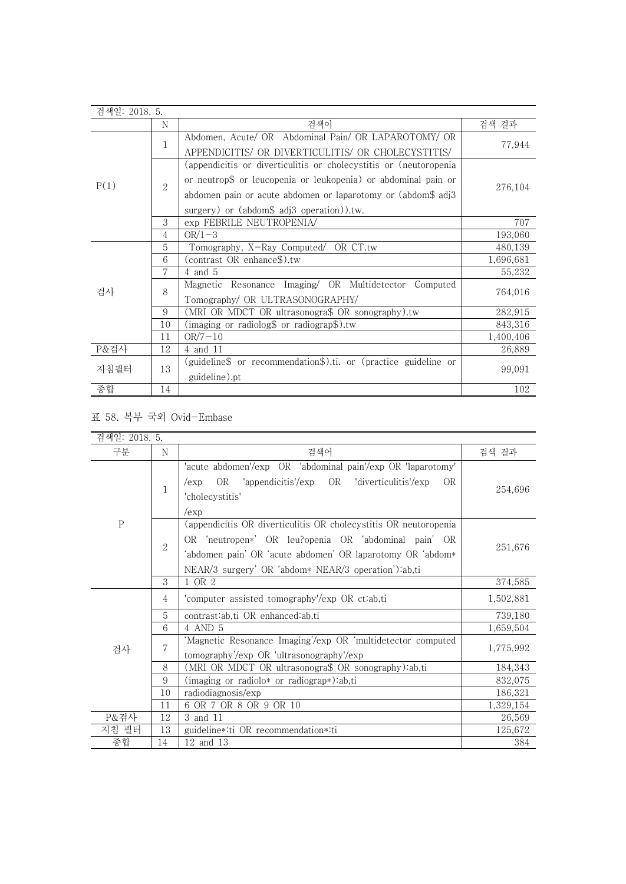| 검색일: 2018. 5. |    |                                                                    |           |  |
|---------------|----|--------------------------------------------------------------------|-----------|--|
|               | N  | 검색어                                                                | 검색 결과     |  |
| P(1)          |    | Abdomen, Acute/ OR Abdominal Pain/ OR LAPAROTOMY/ OR               |           |  |
|               | 1  | APPENDICITIS/ OR DIVERTICULITIS/ OR CHOLECYSTITIS/                 | 77,944    |  |
|               |    | (appendicitis or diverticulitis or cholecystitis or (neutoropenia) |           |  |
|               |    | or neutrop\$ or leucopenia or leukopenia) or abdominal pain or     |           |  |
|               | 2  | abdomen pain or acute abdomen or laparotomy or (abdom\$ adj3       | 276,104   |  |
|               |    | surgery) or (abdom\$ adj3 operation)).tw.                          |           |  |
|               | 3  | exp FEBRILE NEUTROPENIA/                                           | 707       |  |
|               | 4  | $OR/1-3$                                                           | 193,060   |  |
|               | 5  | Tomography, X-Ray Computed/ OR CT.tw                               | 480,139   |  |
|               | 6  | (contrast OR enhance\$).tw                                         | 1,696,681 |  |
|               | 7  | $4$ and $5$                                                        | 55,232    |  |
| 검사            | 8  | Magnetic Resonance Imaging/ OR Multidetector<br>Computed           | 764,016   |  |
|               |    | Tomography/ OR ULTRASONOGRAPHY/                                    |           |  |
|               | 9  | (MRI OR MDCT OR ultrasonogra\$ OR sonography).tw                   | 282,915   |  |
|               | 10 | (imaging or radiolog\$ or radiograp\$).tw                          | 843,316   |  |
|               | 11 | $OR/7-10$                                                          | 1,400,406 |  |
| P&검사          | 12 | 4 and 11                                                           | 26,889    |  |
|               | 13 | (guideline\$ or recommendation\$).ti. or (practice guideline or    |           |  |
| 지침필터          |    | guideline).pt                                                      | 99,091    |  |
| 종합            | 14 |                                                                    | 102       |  |

## 표 58. 복부 국외 Ovid-Embase

| 검색일: 2018. 5. |    |                                                                                                                                                                                                                                               |           |
|---------------|----|-----------------------------------------------------------------------------------------------------------------------------------------------------------------------------------------------------------------------------------------------|-----------|
| 구분            | N  | 검색어                                                                                                                                                                                                                                           | 검색 결과     |
| $\mathbf{P}$  | 1  | 'acute abdomen'/exp OR 'abdominal pain'/exp OR 'laparotomy'<br>OR 'appendicitis'/exp OR 'diverticulitis'/exp<br>0 <sub>R</sub><br>/exp<br>'cholecystitis'<br>/exp                                                                             | 254,696   |
|               | 2  | (appendicitis OR diverticulitis OR cholecystitis OR neutoropenia<br>OR 'neutropen*' OR leu?openia OR 'abdominal pain' OR<br>'abdomen pain' OR 'acute abdomen' OR laparotomy OR 'abdom*<br>NEAR/3 surgery' OR 'abdom* NEAR/3 operation'):ab,ti | 251,676   |
|               | 3  | 1 OR 2                                                                                                                                                                                                                                        | 374,585   |
|               | 4  | 'computer assisted tomography'/exp OR ct:ab,ti                                                                                                                                                                                                | 1,502,881 |
|               | 5  | contrast:ab,ti OR enhanced:ab,ti                                                                                                                                                                                                              | 739,180   |
|               | 6  | 4 AND 5                                                                                                                                                                                                                                       | 1,659,504 |
| 검사            | 7  | 'Magnetic Resonance Imaging'/exp OR 'multidetector computed<br>tomography'/exp OR 'ultrasonography'/exp                                                                                                                                       | 1,775,992 |
|               | 8  | (MRI OR MDCT OR ultrasonogra\$ OR sonography):ab,ti                                                                                                                                                                                           | 184,343   |
|               | 9  | (imaging or radiolo* or radiograp*):ab,ti                                                                                                                                                                                                     | 832,075   |
|               | 10 | radiodiagnosis/exp                                                                                                                                                                                                                            | 186,321   |
|               | 11 | 6 OR 7 OR 8 OR 9 OR 10                                                                                                                                                                                                                        | 1,329,154 |
| P&검사          | 12 | 3 and 11                                                                                                                                                                                                                                      | 26,569    |
| 지침 필터         | 13 | guideline*:ti OR recommendation*:ti                                                                                                                                                                                                           | 125,672   |
| 종합            | 14 | 12 and 13                                                                                                                                                                                                                                     | 384       |